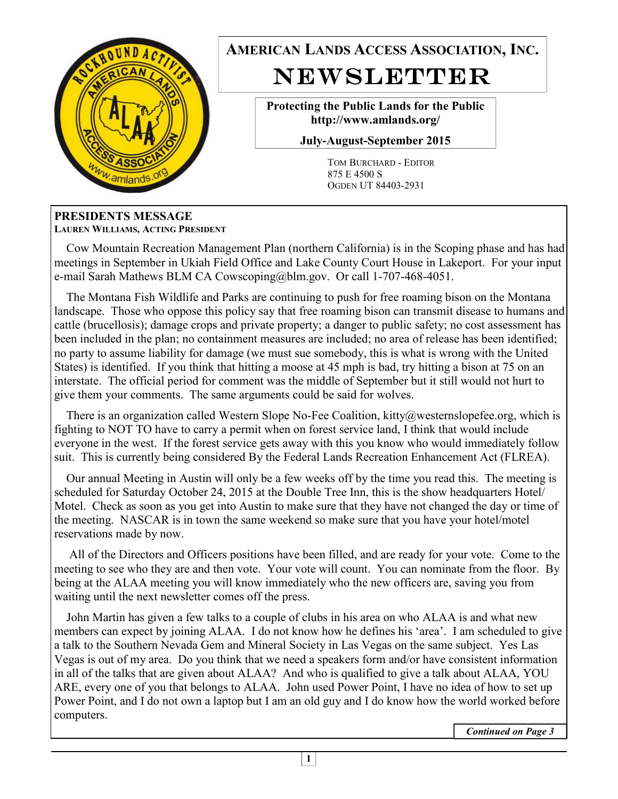

**AMERICAN LANDS ACCESS ASSOCIATION, INC.**  NEWSLETTER

> **Protecting the Public Lands for the Public http://www.amlands.org/**

**July-August-September 2015** 

TOM BURCHARD - EDITOR 875 E 4500 S OGDEN UT 84403-2931

#### **PRESIDENTS MESSAGE LAUREN WILLIAMS, ACTING PRESIDENT**

 Cow Mountain Recreation Management Plan (northern California) is in the Scoping phase and has had meetings in September in Ukiah Field Office and Lake County Court House in Lakeport. For your input e-mail Sarah Mathews BLM CA Cowscoping@blm.gov. Or call 1-707-468-4051.

 The Montana Fish Wildlife and Parks are continuing to push for free roaming bison on the Montana landscape. Those who oppose this policy say that free roaming bison can transmit disease to humans and cattle (brucellosis); damage crops and private property; a danger to public safety; no cost assessment has been included in the plan; no containment measures are included; no area of release has been identified; no party to assume liability for damage (we must sue somebody, this is what is wrong with the United States) is identified. If you think that hitting a moose at 45 mph is bad, try hitting a bison at 75 on an interstate. The official period for comment was the middle of September but it still would not hurt to give them your comments. The same arguments could be said for wolves.

There is an organization called Western Slope No-Fee Coalition, kitty@westernslopefee.org, which is fighting to NOT TO have to carry a permit when on forest service land, I think that would include everyone in the west. If the forest service gets away with this you know who would immediately follow suit. This is currently being considered By the Federal Lands Recreation Enhancement Act (FLREA).

 Our annual Meeting in Austin will only be a few weeks off by the time you read this. The meeting is scheduled for Saturday October 24, 2015 at the Double Tree Inn, this is the show headquarters Hotel/ Motel. Check as soon as you get into Austin to make sure that they have not changed the day or time of the meeting. NASCAR is in town the same weekend so make sure that you have your hotel/motel reservations made by now.

 All of the Directors and Officers positions have been filled, and are ready for your vote. Come to the meeting to see who they are and then vote. Your vote will count. You can nominate from the floor. By being at the ALAA meeting you will know immediately who the new officers are, saving you from waiting until the next newsletter comes off the press.

 John Martin has given a few talks to a couple of clubs in his area on who ALAA is and what new members can expect by joining ALAA. I do not know how he defines his 'area'. I am scheduled to give a talk to the Southern Nevada Gem and Mineral Society in Las Vegas on the same subject. Yes Las Vegas is out of my area. Do you think that we need a speakers form and/or have consistent information in all of the talks that are given about ALAA? And who is qualified to give a talk about ALAA, YOU ARE, every one of you that belongs to ALAA. John used Power Point, I have no idea of how to set up Power Point, and I do not own a laptop but I am an old guy and I do know how the world worked before computers.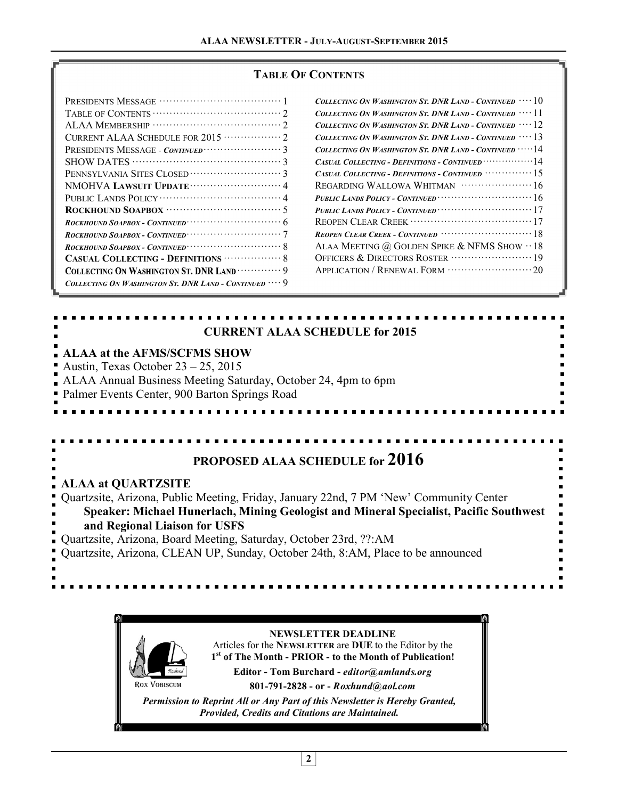#### **TABLE OF CONTENTS**

| CURRENT ALAA SCHEDULE FOR 2015 ··············· 2     |
|------------------------------------------------------|
|                                                      |
|                                                      |
|                                                      |
|                                                      |
|                                                      |
|                                                      |
| $ROCKHOUND$ $SoAPBOX - CONTINVED$ $\dots$ $6$        |
| ROCKHOUND SOAPBOX - CONTINUED $\cdots$               |
| ROCKHOUND SOAPBOX - CONTINUED $\cdots$               |
|                                                      |
| COLLECTING ON WASHINGTON ST. DNR LAND  9             |
| COLLECTING ON WASHINGTON ST. DNR LAND - CONTINUED  9 |
|                                                      |

| Collecting On Washington St. DNR Land - Continued $\,\cdots 10$              |
|------------------------------------------------------------------------------|
| Collecting On Washington St. DNR Land - Continued $\,\cdots 11$              |
| Collecting On Washington St. DNR Land - Continued $\cdots 12$                |
| Collecting On Washington St. DNR Land - Continued $\,\cdots 13$              |
| COLLECTING ON WASHINGTON ST. DNR LAND - CONTINUED $\cdots$ 14                |
|                                                                              |
| CASUAL COLLECTING - DEFINITIONS - CONTINUED $\cdots \cdots \cdots \cdots 15$ |
|                                                                              |
| PUBLIC LANDS POLICY - CONTINUED $\cdots$                                     |
|                                                                              |
|                                                                              |
|                                                                              |
| ALAA MEETING @ GOLDEN SPIKE & NFMS SHOW $\cdot\cdot$ 18                      |
| OFFICERS & DIRECTORS ROSTER ································19               |
|                                                                              |
|                                                                              |

#### **CURRENT ALAA SCHEDULE for 2015**

#### **ALAA at the AFMS/SCFMS SHOW**

Austin, Texas October 23 – 25, 2015 ALAA Annual Business Meeting Saturday, October 24, 4pm to 6pm Palmer Events Center, 900 Barton Springs Road

# **PROPOSED ALAA SCHEDULE for 2016**

#### **ALAA at QUARTZSITE**

Quartzsite, Arizona, Public Meeting, Friday, January 22nd, 7 PM 'New' Community Center **Speaker: Michael Hunerlach, Mining Geologist and Mineral Specialist, Pacific Southwest and Regional Liaison for USFS** Quartzsite, Arizona, Board Meeting, Saturday, October 23rd, ??:AM

Quartzsite, Arizona, CLEAN UP, Sunday, October 24th, 8:AM, Place to be announced

ROX VOBISCUM **NEWSLETTER DEADLINE**  Articles for the **NEWSLETTER** are **DUE** to the Editor by the **1 st of The Month - PRIOR - to the Month of Publication! Editor - Tom Burchard -** *editor@amlands.org*  **801-791-2828 - or -** *Roxhund@aol.com Permission to Reprint All or Any Part of this Newsletter is Hereby Granted, Provided, Credits and Citations are Maintained.*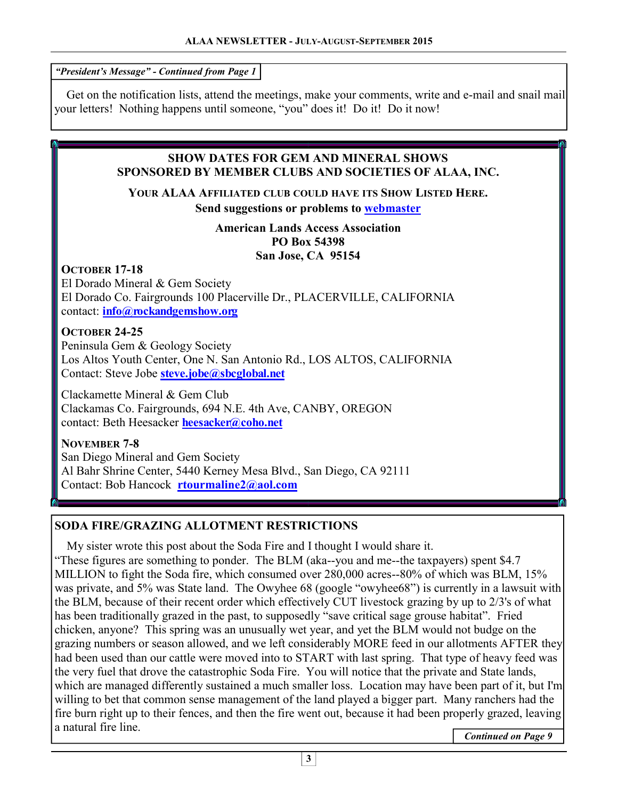*"President's Message" - Continued from Page 1* 

 Get on the notification lists, attend the meetings, make your comments, write and e-mail and snail mail your letters! Nothing happens until someone, "you" does it! Do it! Do it now!

#### **SHOW DATES FOR GEM AND MINERAL SHOWS SPONSORED BY MEMBER CLUBS AND SOCIETIES OF ALAA, INC.**

**YOUR ALAA AFFILIATED CLUB COULD HAVE ITS SHOW LISTED HERE. Send suggestions or problems to webmaster** 

> **American Lands Access Association PO Box 54398 San Jose, CA 95154**

# **OCTOBER 17-18**

El Dorado Mineral & Gem Society El Dorado Co. Fairgrounds 100 Placerville Dr., PLACERVILLE, CALIFORNIA contact: **info@rockandgemshow.org**

# **OCTOBER 24-25**

Peninsula Gem & Geology Society Los Altos Youth Center, One N. San Antonio Rd., LOS ALTOS, CALIFORNIA Contact: Steve Jobe **steve.jobe@sbcglobal.net**

Clackamette Mineral & Gem Club Clackamas Co. Fairgrounds, 694 N.E. 4th Ave, CANBY, OREGON contact: Beth Heesacker **heesacker@coho.net**

**NOVEMBER 7-8**  San Diego Mineral and Gem Society Al Bahr Shrine Center, 5440 Kerney Mesa Blvd., San Diego, CA 92111 Contact: Bob Hancock **rtourmaline2@aol.com**

# **SODA FIRE/GRAZING ALLOTMENT RESTRICTIONS**

 My sister wrote this post about the Soda Fire and I thought I would share it. "These figures are something to ponder. The BLM (aka--you and me--the taxpayers) spent \$4.7 MILLION to fight the Soda fire, which consumed over 280,000 acres--80% of which was BLM, 15% was private, and 5% was State land. The Owyhee 68 (google "owyhee68") is currently in a lawsuit with the BLM, because of their recent order which effectively CUT livestock grazing by up to 2/3's of what has been traditionally grazed in the past, to supposedly "save critical sage grouse habitat". Fried chicken, anyone? This spring was an unusually wet year, and yet the BLM would not budge on the grazing numbers or season allowed, and we left considerably MORE feed in our allotments AFTER they had been used than our cattle were moved into to START with last spring. That type of heavy feed was the very fuel that drove the catastrophic Soda Fire. You will notice that the private and State lands, which are managed differently sustained a much smaller loss. Location may have been part of it, but I'm willing to bet that common sense management of the land played a bigger part. Many ranchers had the fire burn right up to their fences, and then the fire went out, because it had been properly grazed, leaving a natural fire line.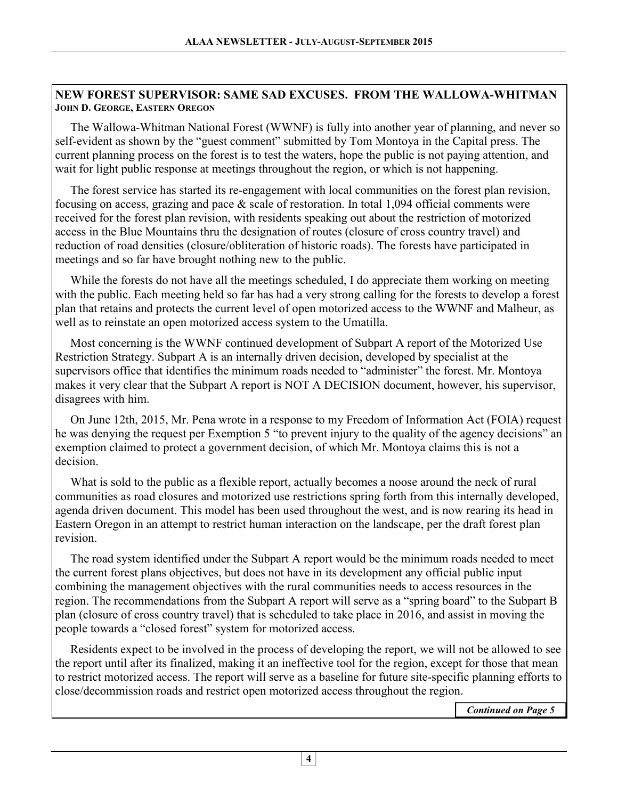#### **NEW FOREST SUPERVISOR: SAME SAD EXCUSES. FROM THE WALLOWA-WHITMAN JOHN D. GEORGE, EASTERN OREGON**

 The Wallowa-Whitman National Forest (WWNF) is fully into another year of planning, and never so self-evident as shown by the "guest comment" submitted by Tom Montoya in the Capital press. The current planning process on the forest is to test the waters, hope the public is not paying attention, and wait for light public response at meetings throughout the region, or which is not happening.

 The forest service has started its re-engagement with local communities on the forest plan revision, focusing on access, grazing and pace & scale of restoration. In total 1,094 official comments were received for the forest plan revision, with residents speaking out about the restriction of motorized access in the Blue Mountains thru the designation of routes (closure of cross country travel) and reduction of road densities (closure/obliteration of historic roads). The forests have participated in meetings and so far have brought nothing new to the public.

 While the forests do not have all the meetings scheduled, I do appreciate them working on meeting with the public. Each meeting held so far has had a very strong calling for the forests to develop a forest plan that retains and protects the current level of open motorized access to the WWNF and Malheur, as well as to reinstate an open motorized access system to the Umatilla.

 Most concerning is the WWNF continued development of Subpart A report of the Motorized Use Restriction Strategy. Subpart A is an internally driven decision, developed by specialist at the supervisors office that identifies the minimum roads needed to "administer" the forest. Mr. Montoya makes it very clear that the Subpart A report is NOT A DECISION document, however, his supervisor, disagrees with him.

 On June 12th, 2015, Mr. Pena wrote in a response to my Freedom of Information Act (FOIA) request he was denying the request per Exemption 5 "to prevent injury to the quality of the agency decisions" an exemption claimed to protect a government decision, of which Mr. Montoya claims this is not a decision.

 What is sold to the public as a flexible report, actually becomes a noose around the neck of rural communities as road closures and motorized use restrictions spring forth from this internally developed, agenda driven document. This model has been used throughout the west, and is now rearing its head in Eastern Oregon in an attempt to restrict human interaction on the landscape, per the draft forest plan revision.

 The road system identified under the Subpart A report would be the minimum roads needed to meet the current forest plans objectives, but does not have in its development any official public input combining the management objectives with the rural communities needs to access resources in the region. The recommendations from the Subpart A report will serve as a "spring board" to the Subpart B plan (closure of cross country travel) that is scheduled to take place in 2016, and assist in moving the people towards a "closed forest" system for motorized access.

 Residents expect to be involved in the process of developing the report, we will not be allowed to see the report until after its finalized, making it an ineffective tool for the region, except for those that mean to restrict motorized access. The report will serve as a baseline for future site-specific planning efforts to close/decommission roads and restrict open motorized access throughout the region.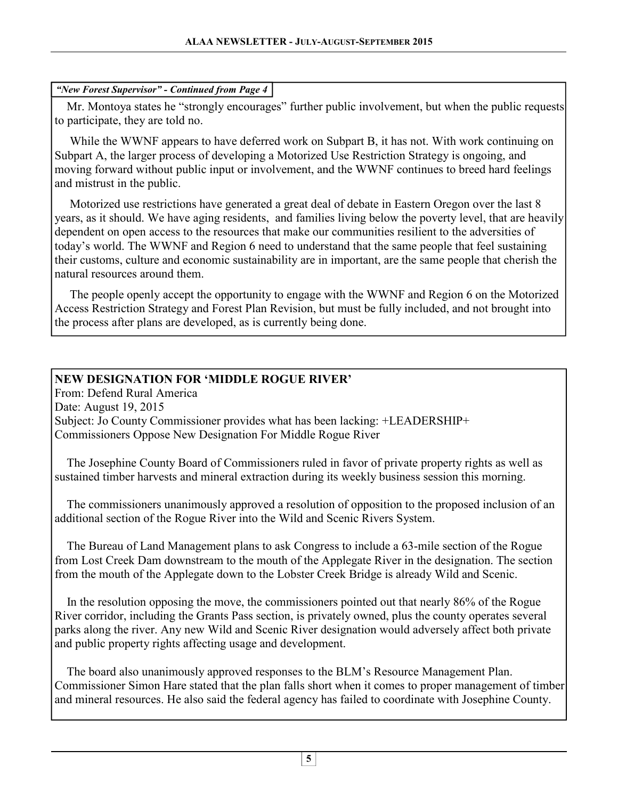#### *"New Forest Supervisor" - Continued from Page 4*

 Mr. Montoya states he "strongly encourages" further public involvement, but when the public requests to participate, they are told no.

 While the WWNF appears to have deferred work on Subpart B, it has not. With work continuing on Subpart A, the larger process of developing a Motorized Use Restriction Strategy is ongoing, and moving forward without public input or involvement, and the WWNF continues to breed hard feelings and mistrust in the public.

 Motorized use restrictions have generated a great deal of debate in Eastern Oregon over the last 8 years, as it should. We have aging residents, and families living below the poverty level, that are heavily dependent on open access to the resources that make our communities resilient to the adversities of today's world. The WWNF and Region 6 need to understand that the same people that feel sustaining their customs, culture and economic sustainability are in important, are the same people that cherish the natural resources around them.

 The people openly accept the opportunity to engage with the WWNF and Region 6 on the Motorized Access Restriction Strategy and Forest Plan Revision, but must be fully included, and not brought into the process after plans are developed, as is currently being done.

# **NEW DESIGNATION FOR 'MIDDLE ROGUE RIVER'**

From: Defend Rural America Date: August 19, 2015 Subject: Jo County Commissioner provides what has been lacking: +LEADERSHIP+ Commissioners Oppose New Designation For Middle Rogue River

 The Josephine County Board of Commissioners ruled in favor of private property rights as well as sustained timber harvests and mineral extraction during its weekly business session this morning.

 The commissioners unanimously approved a resolution of opposition to the proposed inclusion of an additional section of the Rogue River into the Wild and Scenic Rivers System.

 The Bureau of Land Management plans to ask Congress to include a 63-mile section of the Rogue from Lost Creek Dam downstream to the mouth of the Applegate River in the designation. The section from the mouth of the Applegate down to the Lobster Creek Bridge is already Wild and Scenic.

 In the resolution opposing the move, the commissioners pointed out that nearly 86% of the Rogue River corridor, including the Grants Pass section, is privately owned, plus the county operates several parks along the river. Any new Wild and Scenic River designation would adversely affect both private and public property rights affecting usage and development.

 The board also unanimously approved responses to the BLM's Resource Management Plan. Commissioner Simon Hare stated that the plan falls short when it comes to proper management of timber and mineral resources. He also said the federal agency has failed to coordinate with Josephine County.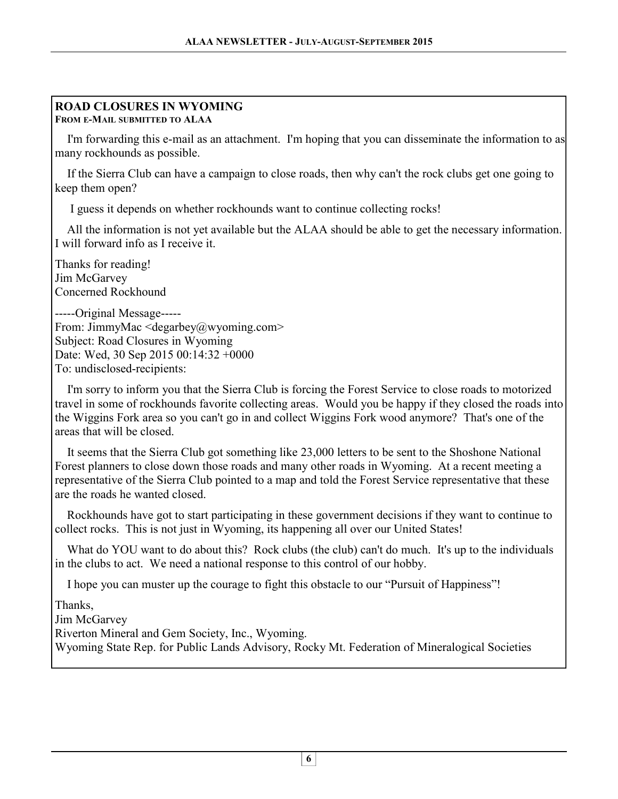#### **ROAD CLOSURES IN WYOMING FROM E-MAIL SUBMITTED TO ALAA**

 I'm forwarding this e-mail as an attachment. I'm hoping that you can disseminate the information to as many rockhounds as possible. <sup>\*</sup>

 If the Sierra Club can have a campaign to close roads, then why can't the rock clubs get one going to keep them open? <sup>\*</sup>

I guess it depends on whether rockhounds want to continue collecting rocks!

 All the information is not yet available but the ALAA should be able to get the necessary information. I will forward info as I receive it. Î

Thanks for reading! Jim McGarvey Concerned Rockhound

-----Original Message----- From: JimmyMac <degarbey@wyoming.com> Subject: Road Closures in Wyoming Date: Wed, 30 Sep 2015 00:14:32 +0000 To: undisclosed-recipients:

 I'm sorry to inform you that the Sierra Club is forcing the Forest Service to close roads to motorized travel in some of rockhounds favorite collecting areas. Would you be happy if they closed the roads into the Wiggins Fork area so you can't go in and collect Wiggins Fork wood anymore? That's one of the areas that will be closed.

 It seems that the Sierra Club got something like 23,000 letters to be sent to the Shoshone National Forest planners to close down those roads and many other roads in Wyoming. At a recent meeting a representative of the Sierra Club pointed to a map and told the Forest Service representative that these are the roads he wanted closed. Ì

 Rockhounds have got to start participating in these government decisions if they want to continue to collect rocks. This is not just in Wyoming, its happening all over our United States!

What do YOU want to do about this? Rock clubs (the club) can't do much. It's up to the individuals in the clubs to act. We need a national response to this control of our hobby.

I hope you can muster up the courage to fight this obstacle to our "Pursuit of Happiness"!

Thanks,

Jim McGarvey

Riverton Mineral and Gem Society, Inc., Wyoming.

Wyoming State Rep. for Public Lands Advisory, Rocky Mt. Federation of Mineralogical Societies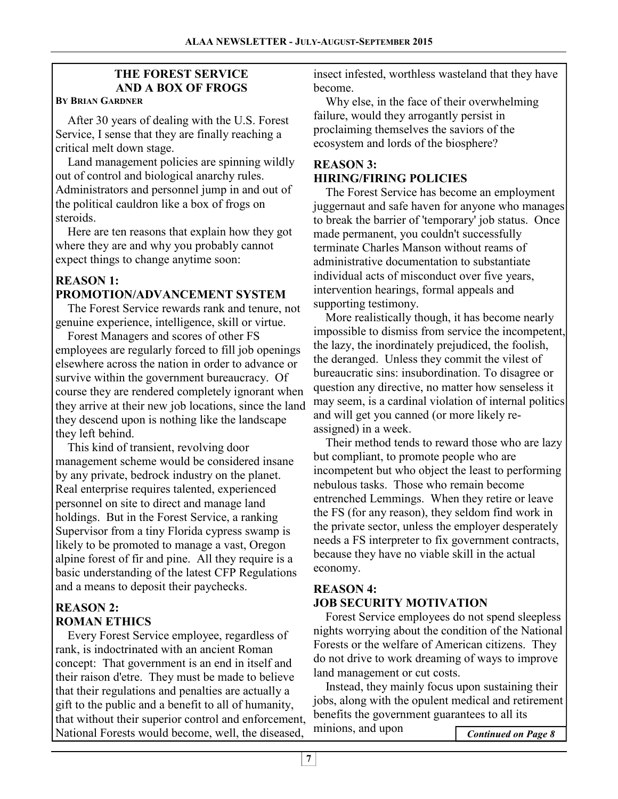# **THE FOREST SERVICE AND A BOX OF FROGS**

#### **BY BRIAN GARDNER**

 After 30 years of dealing with the U.S. Forest Service, I sense that they are finally reaching a critical melt down stage.

 Land management policies are spinning wildly out of control and biological anarchy rules. Administrators and personnel jump in and out of the political cauldron like a box of frogs on steroids.

 Here are ten reasons that explain how they got where they are and why you probably cannot expect things to change anytime soon:

# **REASON 1: PROMOTION/ADVANCEMENT SYSTEM**

 The Forest Service rewards rank and tenure, not genuine experience, intelligence, skill or virtue.

 Forest Managers and scores of other FS employees are regularly forced to fill job openings elsewhere across the nation in order to advance or survive within the government bureaucracy. Of course they are rendered completely ignorant when they arrive at their new job locations, since the land they descend upon is nothing like the landscape they left behind.

 This kind of transient, revolving door management scheme would be considered insane by any private, bedrock industry on the planet. Real enterprise requires talented, experienced personnel on site to direct and manage land holdings. But in the Forest Service, a ranking Supervisor from a tiny Florida cypress swamp is likely to be promoted to manage a vast, Oregon alpine forest of fir and pine. All they require is a basic understanding of the latest CFP Regulations and a means to deposit their paychecks.

# **REASON 2: ROMAN ETHICS**

 Every Forest Service employee, regardless of rank, is indoctrinated with an ancient Roman concept: That government is an end in itself and their raison d'etre. They must be made to believe that their regulations and penalties are actually a gift to the public and a benefit to all of humanity, that without their superior control and enforcement, National Forests would become, well, the diseased,

insect infested, worthless wasteland that they have become.

 Why else, in the face of their overwhelming failure, would they arrogantly persist in proclaiming themselves the saviors of the ecosystem and lords of the biosphere?

#### **REASON 3: HIRING/FIRING POLICIES**

 The Forest Service has become an employment juggernaut and safe haven for anyone who manages to break the barrier of 'temporary' job status. Once made permanent, you couldn't successfully terminate Charles Manson without reams of administrative documentation to substantiate individual acts of misconduct over five years, intervention hearings, formal appeals and supporting testimony.

 More realistically though, it has become nearly impossible to dismiss from service the incompetent, the lazy, the inordinately prejudiced, the foolish, the deranged. Unless they commit the vilest of bureaucratic sins: insubordination. To disagree or question any directive, no matter how senseless it may seem, is a cardinal violation of internal politics and will get you canned (or more likely reassigned) in a week.

 Their method tends to reward those who are lazy but compliant, to promote people who are incompetent but who object the least to performing nebulous tasks. Those who remain become entrenched Lemmings. When they retire or leave the FS (for any reason), they seldom find work in the private sector, unless the employer desperately needs a FS interpreter to fix government contracts, because they have no viable skill in the actual economy.

#### **REASON 4: JOB SECURITY MOTIVATION**

 Forest Service employees do not spend sleepless nights worrying about the condition of the National Forests or the welfare of American citizens. They do not drive to work dreaming of ways to improve land management or cut costs.

 Instead, they mainly focus upon sustaining their jobs, along with the opulent medical and retirement benefits the government guarantees to all its minions, and upon **Continued on Page 8**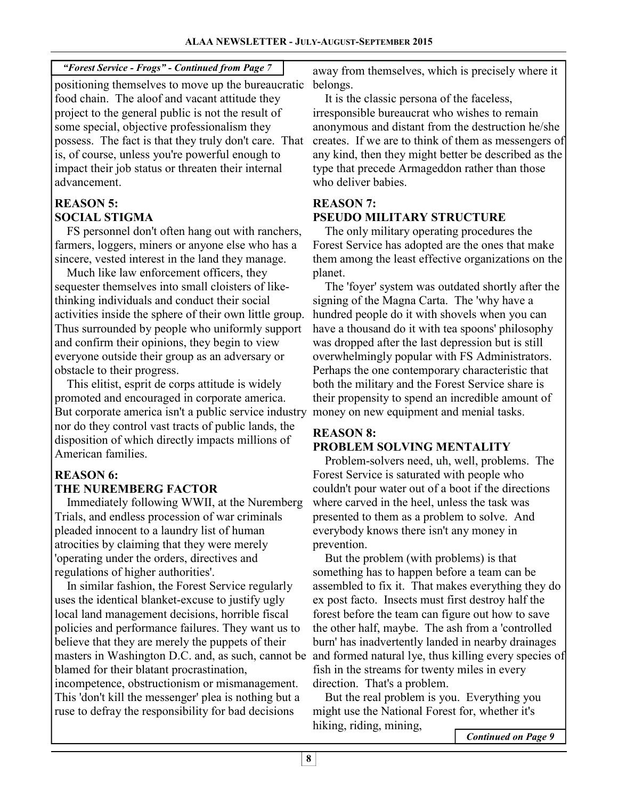# *"Forest Service - Frogs" - Continued from Page 7*

positioning themselves to move up the bureaucratic food chain. The aloof and vacant attitude they project to the general public is not the result of some special, objective professionalism they possess. The fact is that they truly don't care. That is, of course, unless you're powerful enough to impact their job status or threaten their internal advancement.

# **REASON 5: SOCIAL STIGMA**

 FS personnel don't often hang out with ranchers, farmers, loggers, miners or anyone else who has a sincere, vested interest in the land they manage.

 Much like law enforcement officers, they sequester themselves into small cloisters of likethinking individuals and conduct their social activities inside the sphere of their own little group. Thus surrounded by people who uniformly support and confirm their opinions, they begin to view everyone outside their group as an adversary or obstacle to their progress.

 This elitist, esprit de corps attitude is widely promoted and encouraged in corporate america. But corporate america isn't a public service industry nor do they control vast tracts of public lands, the disposition of which directly impacts millions of American families.

# **REASON 6: THE NUREMBERG FACTOR**

 Immediately following WWII, at the Nuremberg Trials, and endless procession of war criminals pleaded innocent to a laundry list of human atrocities by claiming that they were merely 'operating under the orders, directives and regulations of higher authorities'.

 In similar fashion, the Forest Service regularly uses the identical blanket-excuse to justify ugly local land management decisions, horrible fiscal policies and performance failures. They want us to believe that they are merely the puppets of their masters in Washington D.C. and, as such, cannot be blamed for their blatant procrastination, incompetence, obstructionism or mismanagement. This 'don't kill the messenger' plea is nothing but a ruse to defray the responsibility for bad decisions

away from themselves, which is precisely where it belongs.

 It is the classic persona of the faceless, irresponsible bureaucrat who wishes to remain anonymous and distant from the destruction he/she creates. If we are to think of them as messengers of any kind, then they might better be described as the type that precede Armageddon rather than those who deliver babies.

# **REASON 7: PSEUDO MILITARY STRUCTURE**

 The only military operating procedures the Forest Service has adopted are the ones that make them among the least effective organizations on the planet.

 The 'foyer' system was outdated shortly after the signing of the Magna Carta. The 'why have a hundred people do it with shovels when you can have a thousand do it with tea spoons' philosophy was dropped after the last depression but is still overwhelmingly popular with FS Administrators. Perhaps the one contemporary characteristic that both the military and the Forest Service share is their propensity to spend an incredible amount of money on new equipment and menial tasks.

#### **REASON 8: PROBLEM SOLVING MENTALITY**

 Problem-solvers need, uh, well, problems. The Forest Service is saturated with people who couldn't pour water out of a boot if the directions where carved in the heel, unless the task was presented to them as a problem to solve. And everybody knows there isn't any money in prevention.

 But the problem (with problems) is that something has to happen before a team can be assembled to fix it. That makes everything they do ex post facto. Insects must first destroy half the forest before the team can figure out how to save the other half, maybe. The ash from a 'controlled burn' has inadvertently landed in nearby drainages and formed natural lye, thus killing every species of fish in the streams for twenty miles in every direction. That's a problem.

 But the real problem is you. Everything you might use the National Forest for, whether it's hiking, riding, mining,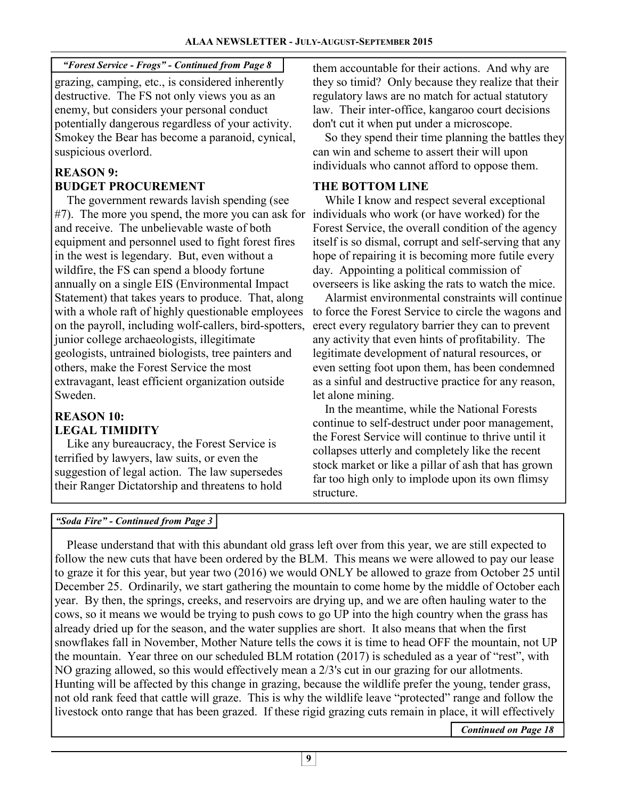*"Forest Service - Frogs" - Continued from Page 8* 

grazing, camping, etc., is considered inherently destructive. The FS not only views you as an enemy, but considers your personal conduct potentially dangerous regardless of your activity. Smokey the Bear has become a paranoid, cynical, suspicious overlord.

# **REASON 9: BUDGET PROCUREMENT**

 The government rewards lavish spending (see #7). The more you spend, the more you can ask for individuals who work (or have worked) for the and receive. The unbelievable waste of both equipment and personnel used to fight forest fires in the west is legendary. But, even without a wildfire, the FS can spend a bloody fortune annually on a single EIS (Environmental Impact Statement) that takes years to produce. That, along with a whole raft of highly questionable employees on the payroll, including wolf-callers, bird-spotters, junior college archaeologists, illegitimate geologists, untrained biologists, tree painters and others, make the Forest Service the most extravagant, least efficient organization outside Sweden.

#### **REASON 10: LEGAL TIMIDITY**

 Like any bureaucracy, the Forest Service is terrified by lawyers, law suits, or even the suggestion of legal action. The law supersedes their Ranger Dictatorship and threatens to hold them accountable for their actions. And why are they so timid? Only because they realize that their regulatory laws are no match for actual statutory law. Their inter-office, kangaroo court decisions don't cut it when put under a microscope.

 So they spend their time planning the battles they can win and scheme to assert their will upon individuals who cannot afford to oppose them.

# **THE BOTTOM LINE**

 While I know and respect several exceptional Forest Service, the overall condition of the agency itself is so dismal, corrupt and self-serving that any hope of repairing it is becoming more futile every day. Appointing a political commission of overseers is like asking the rats to watch the mice.

 Alarmist environmental constraints will continue to force the Forest Service to circle the wagons and erect every regulatory barrier they can to prevent any activity that even hints of profitability. The legitimate development of natural resources, or even setting foot upon them, has been condemned as a sinful and destructive practice for any reason, let alone mining.

 In the meantime, while the National Forests continue to self-destruct under poor management, the Forest Service will continue to thrive until it collapses utterly and completely like the recent stock market or like a pillar of ash that has grown far too high only to implode upon its own flimsy structure.

# *"Soda Fire" - Continued from Page 3*

 Please understand that with this abundant old grass left over from this year, we are still expected to follow the new cuts that have been ordered by the BLM. This means we were allowed to pay our lease to graze it for this year, but year two (2016) we would ONLY be allowed to graze from October 25 until December 25. Ordinarily, we start gathering the mountain to come home by the middle of October each year. By then, the springs, creeks, and reservoirs are drying up, and we are often hauling water to the cows, so it means we would be trying to push cows to go UP into the high country when the grass has already dried up for the season, and the water supplies are short. It also means that when the first snowflakes fall in November, Mother Nature tells the cows it is time to head OFF the mountain, not UP the mountain. Year three on our scheduled BLM rotation (2017) is scheduled as a year of "rest", with NO grazing allowed, so this would effectively mean a 2/3's cut in our grazing for our allotments. Hunting will be affected by this change in grazing, because the wildlife prefer the young, tender grass, not old rank feed that cattle will graze. This is why the wildlife leave "protected" range and follow the livestock onto range that has been grazed. If these rigid grazing cuts remain in place, it will effectively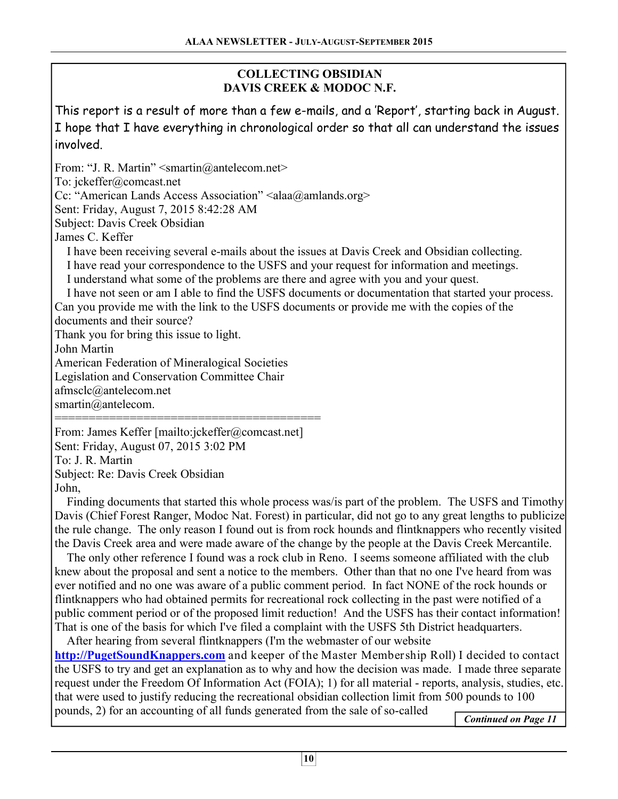# **COLLECTING OBSIDIAN DAVIS CREEK & MODOC N.F.**

This report is a result of more than a few e-mails, and a 'Report', starting back in August. I hope that I have everything in chronological order so that all can understand the issues involved.

From: "J. R. Martin" < smartin@antelecom.net> To: jckeffer@comcast.net Cc: "American Lands Access Association" <alaa@amlands.org> Sent: Friday, August 7, 2015 8:42:28 AM Subject: Davis Creek Obsidian James C. Keffer I have been receiving several e-mails about the issues at Davis Creek and Obsidian collecting. I have read your correspondence to the USFS and your request for information and meetings. I understand what some of the problems are there and agree with you and your quest. I have not seen or am I able to find the USFS documents or documentation that started your process. Can you provide me with the link to the USFS documents or provide me with the copies of the documents and their source? Thank you for bring this issue to light. John Martin American Federation of Mineralogical Societies Legislation and Conservation Committee Chair afmsclc@antelecom.net smartin@antelecom. ======================================= From: James Keffer [mailto:jckeffer@comcast.net]

Sent: Friday, August 07, 2015 3:02 PM To: J. R. Martin Subject: Re: Davis Creek Obsidian John,

 Finding documents that started this whole process was/is part of the problem. The USFS and Timothy Davis (Chief Forest Ranger, Modoc Nat. Forest) in particular, did not go to any great lengths to publicize the rule change. The only reason I found out is from rock hounds and flintknappers who recently visited the Davis Creek area and were made aware of the change by the people at the Davis Creek Mercantile.

 The only other reference I found was a rock club in Reno. I seems someone affiliated with the club knew about the proposal and sent a notice to the members. Other than that no one I've heard from was ever notified and no one was aware of a public comment period. In fact NONE of the rock hounds or flintknappers who had obtained permits for recreational rock collecting in the past were notified of a public comment period or of the proposed limit reduction! And the USFS has their contact information! That is one of the basis for which I've filed a complaint with the USFS 5th District headquarters.

 After hearing from several flintknappers (I'm the webmaster of our website **http://PugetSoundKnappers.com** and keeper of the Master Membership Roll) I decided to contact the USFS to try and get an explanation as to why and how the decision was made. I made three separate request under the Freedom Of Information Act (FOIA); 1) for all material - reports, analysis, studies, etc. that were used to justify reducing the recreational obsidian collection limit from 500 pounds to 100 pounds, 2) for an accounting of all funds generated from the sale of so-called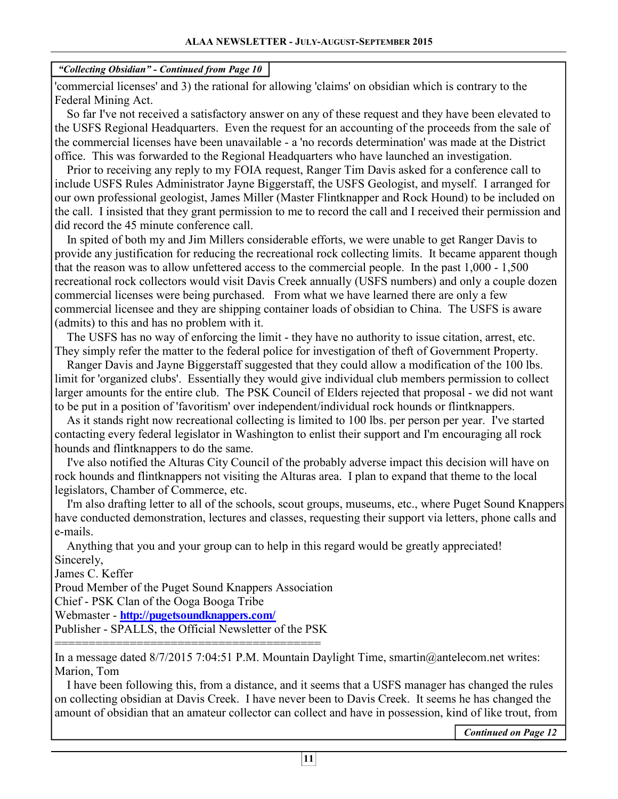'commercial licenses' and 3) the rational for allowing 'claims' on obsidian which is contrary to the Federal Mining Act.

 So far I've not received a satisfactory answer on any of these request and they have been elevated to the USFS Regional Headquarters. Even the request for an accounting of the proceeds from the sale of the commercial licenses have been unavailable - a 'no records determination' was made at the District office. This was forwarded to the Regional Headquarters who have launched an investigation.

 Prior to receiving any reply to my FOIA request, Ranger Tim Davis asked for a conference call to include USFS Rules Administrator Jayne Biggerstaff, the USFS Geologist, and myself. I arranged for our own professional geologist, James Miller (Master Flintknapper and Rock Hound) to be included on the call. I insisted that they grant permission to me to record the call and I received their permission and did record the 45 minute conference call.

 In spited of both my and Jim Millers considerable efforts, we were unable to get Ranger Davis to provide any justification for reducing the recreational rock collecting limits. It became apparent though that the reason was to allow unfettered access to the commercial people. In the past 1,000 - 1,500 recreational rock collectors would visit Davis Creek annually (USFS numbers) and only a couple dozen commercial licenses were being purchased. From what we have learned there are only a few commercial licensee and they are shipping container loads of obsidian to China. The USFS is aware (admits) to this and has no problem with it.

 The USFS has no way of enforcing the limit - they have no authority to issue citation, arrest, etc. They simply refer the matter to the federal police for investigation of theft of Government Property.

 Ranger Davis and Jayne Biggerstaff suggested that they could allow a modification of the 100 lbs. limit for 'organized clubs'. Essentially they would give individual club members permission to collect larger amounts for the entire club. The PSK Council of Elders rejected that proposal - we did not want to be put in a position of 'favoritism' over independent/individual rock hounds or flintknappers.

 As it stands right now recreational collecting is limited to 100 lbs. per person per year. I've started contacting every federal legislator in Washington to enlist their support and I'm encouraging all rock hounds and flintknappers to do the same.

 I've also notified the Alturas City Council of the probably adverse impact this decision will have on rock hounds and flintknappers not visiting the Alturas area. I plan to expand that theme to the local legislators, Chamber of Commerce, etc.

 I'm also drafting letter to all of the schools, scout groups, museums, etc., where Puget Sound Knappers have conducted demonstration, lectures and classes, requesting their support via letters, phone calls and e-mails.

 Anything that you and your group can to help in this regard would be greatly appreciated! Sincerely,

James C. Keffer

Proud Member of the Puget Sound Knappers Association

Chief - PSK Clan of the Ooga Booga Tribe

Webmaster - **http://pugetsoundknappers.com/**

Publisher - SPALLS, the Official Newsletter of the PSK =======================================

In a message dated 8/7/2015 7:04:51 P.M. Mountain Daylight Time, smartin@antelecom.net writes: Marion, Tom

 I have been following this, from a distance, and it seems that a USFS manager has changed the rules on collecting obsidian at Davis Creek. I have never been to Davis Creek. It seems he has changed the amount of obsidian that an amateur collector can collect and have in possession, kind of like trout, from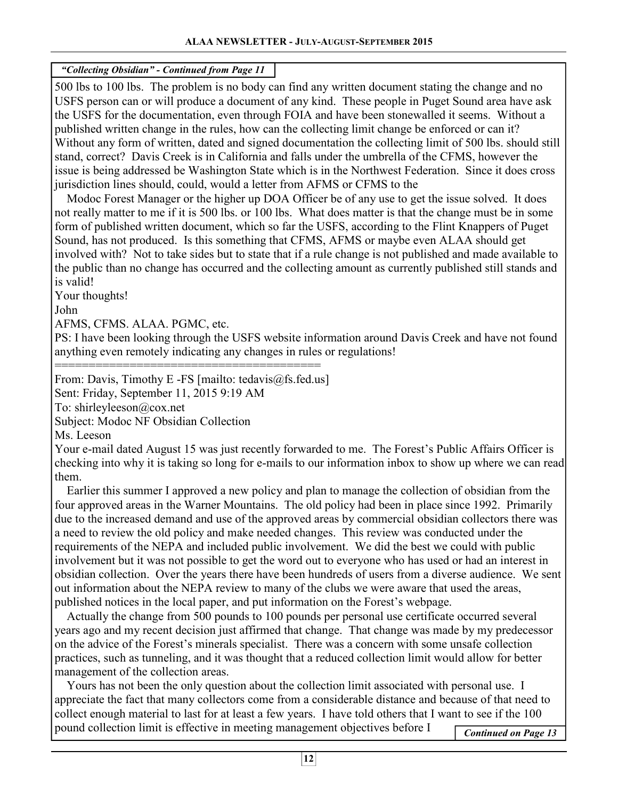500 lbs to 100 lbs. The problem is no body can find any written document stating the change and no USFS person can or will produce a document of any kind. These people in Puget Sound area have ask the USFS for the documentation, even through FOIA and have been stonewalled it seems. Without a published written change in the rules, how can the collecting limit change be enforced or can it? Without any form of written, dated and signed documentation the collecting limit of 500 lbs. should still stand, correct? Davis Creek is in California and falls under the umbrella of the CFMS, however the issue is being addressed be Washington State which is in the Northwest Federation. Since it does cross jurisdiction lines should, could, would a letter from AFMS or CFMS to the

 Modoc Forest Manager or the higher up DOA Officer be of any use to get the issue solved. It does not really matter to me if it is 500 lbs. or 100 lbs. What does matter is that the change must be in some form of published written document, which so far the USFS, according to the Flint Knappers of Puget Sound, has not produced. Is this something that CFMS, AFMS or maybe even ALAA should get involved with? Not to take sides but to state that if a rule change is not published and made available to the public than no change has occurred and the collecting amount as currently published still stands and is valid!

Your thoughts!

John

AFMS, CFMS. ALAA. PGMC, etc.

PS: I have been looking through the USFS website information around Davis Creek and have not found anything even remotely indicating any changes in rules or regulations!

======================================= From: Davis, Timothy E -FS [mailto: tedavis@fs.fed.us]

Sent: Friday, September 11, 2015 9:19 AM

To: shirleyleeson@cox.net

Subject: Modoc NF Obsidian Collection

Ms. Leeson

Your e-mail dated August 15 was just recently forwarded to me. The Forest's Public Affairs Officer is checking into why it is taking so long for e-mails to our information inbox to show up where we can read them.

 Earlier this summer I approved a new policy and plan to manage the collection of obsidian from the four approved areas in the Warner Mountains. The old policy had been in place since 1992. Primarily due to the increased demand and use of the approved areas by commercial obsidian collectors there was a need to review the old policy and make needed changes. This review was conducted under the requirements of the NEPA and included public involvement. We did the best we could with public involvement but it was not possible to get the word out to everyone who has used or had an interest in obsidian collection. Over the years there have been hundreds of users from a diverse audience. We sent out information about the NEPA review to many of the clubs we were aware that used the areas, published notices in the local paper, and put information on the Forest's webpage.

 Actually the change from 500 pounds to 100 pounds per personal use certificate occurred several years ago and my recent decision just affirmed that change. That change was made by my predecessor on the advice of the Forest's minerals specialist. There was a concern with some unsafe collection practices, such as tunneling, and it was thought that a reduced collection limit would allow for better management of the collection areas.

 Yours has not been the only question about the collection limit associated with personal use. I appreciate the fact that many collectors come from a considerable distance and because of that need to collect enough material to last for at least a few years. I have told others that I want to see if the 100 pound collection limit is effective in meeting management objectives before I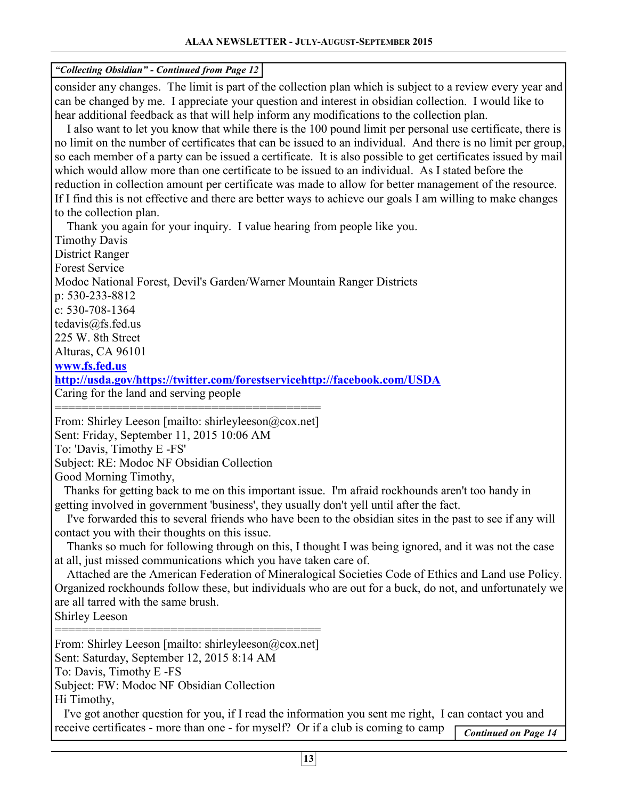| "Collecting Obsidian" - Continued from Page 12                                                                                                                                                                                                                                                                                                                                                                                                                                                                                                                                                                                                                                                                                                                                                                                                                                                                                                                                                                                     |                             |
|------------------------------------------------------------------------------------------------------------------------------------------------------------------------------------------------------------------------------------------------------------------------------------------------------------------------------------------------------------------------------------------------------------------------------------------------------------------------------------------------------------------------------------------------------------------------------------------------------------------------------------------------------------------------------------------------------------------------------------------------------------------------------------------------------------------------------------------------------------------------------------------------------------------------------------------------------------------------------------------------------------------------------------|-----------------------------|
| consider any changes. The limit is part of the collection plan which is subject to a review every year and<br>can be changed by me. I appreciate your question and interest in obsidian collection. I would like to<br>hear additional feedback as that will help inform any modifications to the collection plan.<br>I also want to let you know that while there is the 100 pound limit per personal use certificate, there is<br>no limit on the number of certificates that can be issued to an individual. And there is no limit per group,<br>so each member of a party can be issued a certificate. It is also possible to get certificates issued by mail<br>which would allow more than one certificate to be issued to an individual. As I stated before the<br>reduction in collection amount per certificate was made to allow for better management of the resource.<br>If I find this is not effective and there are better ways to achieve our goals I am willing to make changes                                   |                             |
| to the collection plan.<br>Thank you again for your inquiry. I value hearing from people like you.<br><b>Timothy Davis</b>                                                                                                                                                                                                                                                                                                                                                                                                                                                                                                                                                                                                                                                                                                                                                                                                                                                                                                         |                             |
| <b>District Ranger</b>                                                                                                                                                                                                                                                                                                                                                                                                                                                                                                                                                                                                                                                                                                                                                                                                                                                                                                                                                                                                             |                             |
| <b>Forest Service</b>                                                                                                                                                                                                                                                                                                                                                                                                                                                                                                                                                                                                                                                                                                                                                                                                                                                                                                                                                                                                              |                             |
| Modoc National Forest, Devil's Garden/Warner Mountain Ranger Districts<br>p: 530-233-8812                                                                                                                                                                                                                                                                                                                                                                                                                                                                                                                                                                                                                                                                                                                                                                                                                                                                                                                                          |                             |
| c: $530 - 708 - 1364$                                                                                                                                                                                                                                                                                                                                                                                                                                                                                                                                                                                                                                                                                                                                                                                                                                                                                                                                                                                                              |                             |
| tedavis@fs.fed.us                                                                                                                                                                                                                                                                                                                                                                                                                                                                                                                                                                                                                                                                                                                                                                                                                                                                                                                                                                                                                  |                             |
| 225 W. 8th Street                                                                                                                                                                                                                                                                                                                                                                                                                                                                                                                                                                                                                                                                                                                                                                                                                                                                                                                                                                                                                  |                             |
| Alturas, CA 96101                                                                                                                                                                                                                                                                                                                                                                                                                                                                                                                                                                                                                                                                                                                                                                                                                                                                                                                                                                                                                  |                             |
| www.fs.fed.us                                                                                                                                                                                                                                                                                                                                                                                                                                                                                                                                                                                                                                                                                                                                                                                                                                                                                                                                                                                                                      |                             |
| http://usda.gov/https://twitter.com/forestservicehttp://facebook.com/USDA                                                                                                                                                                                                                                                                                                                                                                                                                                                                                                                                                                                                                                                                                                                                                                                                                                                                                                                                                          |                             |
| Caring for the land and serving people                                                                                                                                                                                                                                                                                                                                                                                                                                                                                                                                                                                                                                                                                                                                                                                                                                                                                                                                                                                             |                             |
| From: Shirley Leeson [mailto: shirleyleeson@cox.net]<br>Sent: Friday, September 11, 2015 10:06 AM<br>To: 'Davis, Timothy E -FS'<br>Subject: RE: Modoc NF Obsidian Collection<br>Good Morning Timothy,<br>Thanks for getting back to me on this important issue. I'm afraid rockhounds aren't too handy in<br>getting involved in government 'business', they usually don't yell until after the fact.<br>I've forwarded this to several friends who have been to the obsidian sites in the past to see if any will<br>contact you with their thoughts on this issue.<br>Thanks so much for following through on this, I thought I was being ignored, and it was not the case<br>at all, just missed communications which you have taken care of.<br>Attached are the American Federation of Mineralogical Societies Code of Ethics and Land use Policy.<br>Organized rockhounds follow these, but individuals who are out for a buck, do not, and unfortunately we<br>are all tarred with the same brush.<br><b>Shirley Leeson</b> |                             |
| From: Shirley Leeson [mailto: shirleyleeson@cox.net]<br>Sent: Saturday, September 12, 2015 8:14 AM<br>To: Davis, Timothy E -FS<br>Subject: FW: Modoc NF Obsidian Collection<br>Hi Timothy,                                                                                                                                                                                                                                                                                                                                                                                                                                                                                                                                                                                                                                                                                                                                                                                                                                         |                             |
| I've got another question for you, if I read the information you sent me right, I can contact you and                                                                                                                                                                                                                                                                                                                                                                                                                                                                                                                                                                                                                                                                                                                                                                                                                                                                                                                              |                             |
| receive certificates - more than one - for myself? Or if a club is coming to camp                                                                                                                                                                                                                                                                                                                                                                                                                                                                                                                                                                                                                                                                                                                                                                                                                                                                                                                                                  |                             |
|                                                                                                                                                                                                                                                                                                                                                                                                                                                                                                                                                                                                                                                                                                                                                                                                                                                                                                                                                                                                                                    | <b>Continued on Page 14</b> |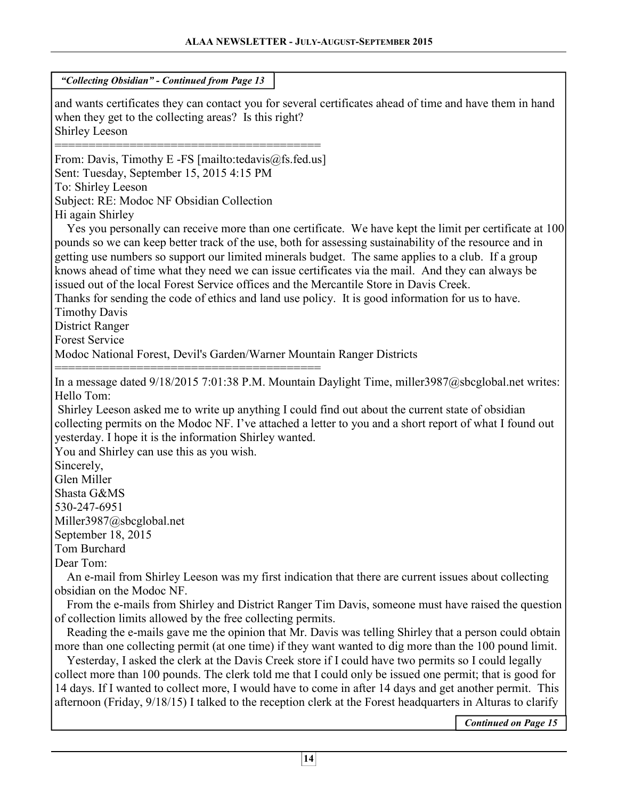| "Collecting Obsidian" - Continued from Page 13                                                                                                                                                                                                                                                                                                                                                                                                                                                                                                                                                                                                                                                                                   |  |  |  |  |  |
|----------------------------------------------------------------------------------------------------------------------------------------------------------------------------------------------------------------------------------------------------------------------------------------------------------------------------------------------------------------------------------------------------------------------------------------------------------------------------------------------------------------------------------------------------------------------------------------------------------------------------------------------------------------------------------------------------------------------------------|--|--|--|--|--|
| and wants certificates they can contact you for several certificates ahead of time and have them in hand<br>when they get to the collecting areas? Is this right?<br><b>Shirley Leeson</b>                                                                                                                                                                                                                                                                                                                                                                                                                                                                                                                                       |  |  |  |  |  |
| From: Davis, Timothy E -FS [mailto:tedavis@fs.fed.us]<br>Sent: Tuesday, September 15, 2015 4:15 PM<br>To: Shirley Leeson<br>Subject: RE: Modoc NF Obsidian Collection<br>Hi again Shirley<br>Yes you personally can receive more than one certificate. We have kept the limit per certificate at 100<br>pounds so we can keep better track of the use, both for assessing sustainability of the resource and in<br>getting use numbers so support our limited minerals budget. The same applies to a club. If a group                                                                                                                                                                                                            |  |  |  |  |  |
| knows ahead of time what they need we can issue certificates via the mail. And they can always be<br>issued out of the local Forest Service offices and the Mercantile Store in Davis Creek.<br>Thanks for sending the code of ethics and land use policy. It is good information for us to have.<br><b>Timothy Davis</b><br><b>District Ranger</b><br><b>Forest Service</b>                                                                                                                                                                                                                                                                                                                                                     |  |  |  |  |  |
| Modoc National Forest, Devil's Garden/Warner Mountain Ranger Districts                                                                                                                                                                                                                                                                                                                                                                                                                                                                                                                                                                                                                                                           |  |  |  |  |  |
| In a message dated 9/18/2015 7:01:38 P.M. Mountain Daylight Time, miller3987@sbcglobal.net writes:<br>Hello Tom:<br>Shirley Leeson asked me to write up anything I could find out about the current state of obsidian<br>collecting permits on the Modoc NF. I've attached a letter to you and a short report of what I found out<br>yesterday. I hope it is the information Shirley wanted.<br>You and Shirley can use this as you wish.<br>Sincerely,<br>Glen Miller<br>Shasta G&MS<br>530-247-6951<br>Miller3987@sbcglobal.net                                                                                                                                                                                                |  |  |  |  |  |
| September 18, 2015                                                                                                                                                                                                                                                                                                                                                                                                                                                                                                                                                                                                                                                                                                               |  |  |  |  |  |
| Tom Burchard<br>Dear Tom:<br>An e-mail from Shirley Leeson was my first indication that there are current issues about collecting                                                                                                                                                                                                                                                                                                                                                                                                                                                                                                                                                                                                |  |  |  |  |  |
| obsidian on the Modoc NF.<br>From the e-mails from Shirley and District Ranger Tim Davis, someone must have raised the question                                                                                                                                                                                                                                                                                                                                                                                                                                                                                                                                                                                                  |  |  |  |  |  |
| of collection limits allowed by the free collecting permits.<br>Reading the e-mails gave me the opinion that Mr. Davis was telling Shirley that a person could obtain<br>more than one collecting permit (at one time) if they want wanted to dig more than the 100 pound limit.<br>Yesterday, I asked the clerk at the Davis Creek store if I could have two permits so I could legally<br>collect more than 100 pounds. The clerk told me that I could only be issued one permit; that is good for<br>14 days. If I wanted to collect more, I would have to come in after 14 days and get another permit. This<br>afternoon (Friday, 9/18/15) I talked to the reception clerk at the Forest headquarters in Alturas to clarify |  |  |  |  |  |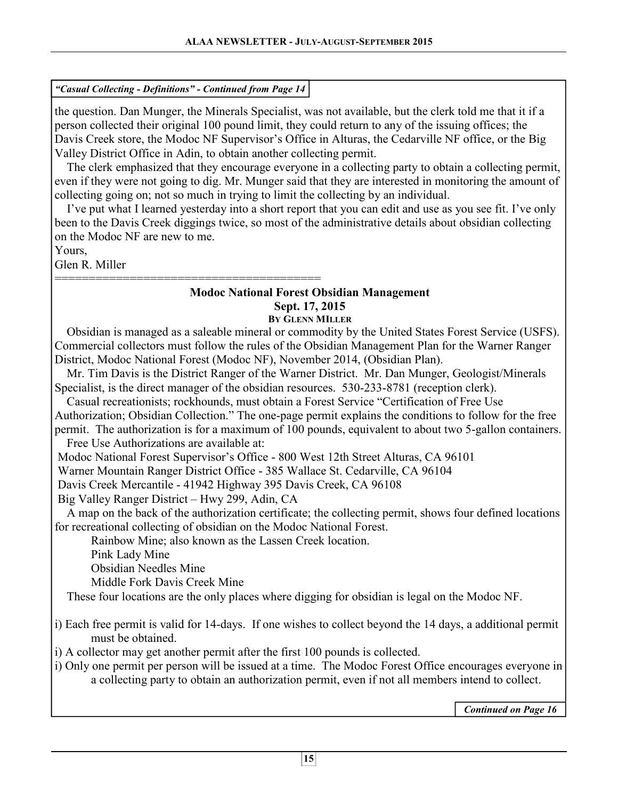# *"Casual Collecting - Definitions" - Continued from Page 14*

the question. Dan Munger, the Minerals Specialist, was not available, but the clerk told me that it if a person collected their original 100 pound limit, they could return to any of the issuing offices; the Davis Creek store, the Modoc NF Supervisor's Office in Alturas, the Cedarville NF office, or the Big Valley District Office in Adin, to obtain another collecting permit.

 The clerk emphasized that they encourage everyone in a collecting party to obtain a collecting permit, even if they were not going to dig. Mr. Munger said that they are interested in monitoring the amount of collecting going on; not so much in trying to limit the collecting by an individual.

 I've put what I learned yesterday into a short report that you can edit and use as you see fit. I've only been to the Davis Creek diggings twice, so most of the administrative details about obsidian collecting on the Modoc NF are new to me.

Yours,

Glen R. Miller

#### ======================================= **Modoc National Forest Obsidian Management Sept. 17, 2015**

# **BY GLENN MILLER**

 Obsidian is managed as a saleable mineral or commodity by the United States Forest Service (USFS). Commercial collectors must follow the rules of the Obsidian Management Plan for the Warner Ranger District, Modoc National Forest (Modoc NF), November 2014, (Obsidian Plan).

 Mr. Tim Davis is the District Ranger of the Warner District. Mr. Dan Munger, Geologist/Minerals Specialist, is the direct manager of the obsidian resources. 530-233-8781 (reception clerk).

 Casual recreationists; rockhounds, must obtain a Forest Service "Certification of Free Use Authorization; Obsidian Collection." The one-page permit explains the conditions to follow for the free permit. The authorization is for a maximum of 100 pounds, equivalent to about two 5-gallon containers. Free Use Authorizations are available at:

Modoc National Forest Supervisor's Office - 800 West 12th Street Alturas, CA 96101

Warner Mountain Ranger District Office - 385 Wallace St. Cedarville, CA 96104

Davis Creek Mercantile - 41942 Highway 395 Davis Creek, CA 96108

Big Valley Ranger District – Hwy 299, Adin, CA

 A map on the back of the authorization certificate; the collecting permit, shows four defined locations for recreational collecting of obsidian on the Modoc National Forest.

Rainbow Mine; also known as the Lassen Creek location.

Pink Lady Mine

Obsidian Needles Mine

Middle Fork Davis Creek Mine

These four locations are the only places where digging for obsidian is legal on the Modoc NF.

i) Each free permit is valid for 14-days. If one wishes to collect beyond the 14 days, a additional permit must be obtained.

i) A collector may get another permit after the first 100 pounds is collected.

i) Only one permit per person will be issued at a time. The Modoc Forest Office encourages everyone in a collecting party to obtain an authorization permit, even if not all members intend to collect.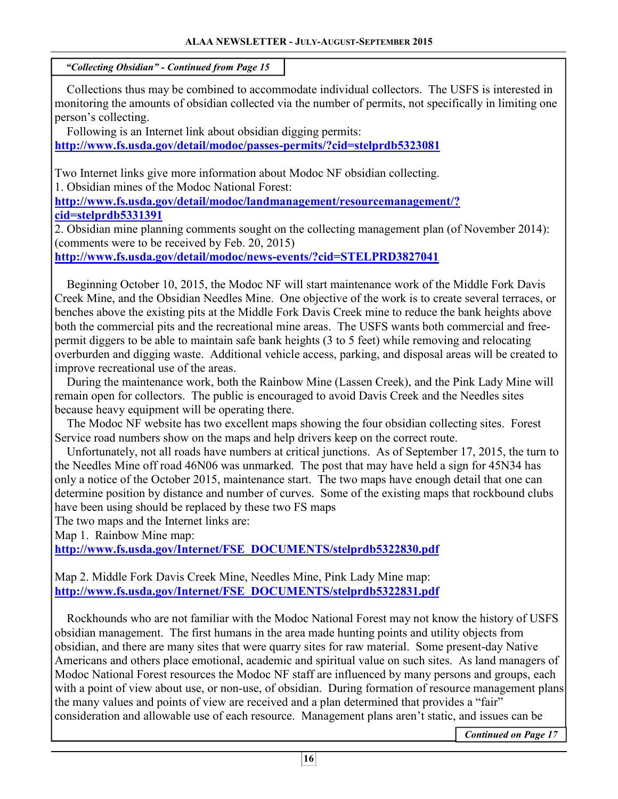Collections thus may be combined to accommodate individual collectors. The USFS is interested in monitoring the amounts of obsidian collected via the number of permits, not specifically in limiting one person's collecting.

 Following is an Internet link about obsidian digging permits: **http://www.fs.usda.gov/detail/modoc/passes-permits/?cid=stelprdb5323081**

Two Internet links give more information about Modoc NF obsidian collecting. 1. Obsidian mines of the Modoc National Forest:

**http://www.fs.usda.gov/detail/modoc/landmanagement/resourcemanagement/? cid=stelprdb5331391**

2. Obsidian mine planning comments sought on the collecting management plan (of November 2014): (comments were to be received by Feb. 20, 2015)

**http://www.fs.usda.gov/detail/modoc/news-events/?cid=STELPRD3827041**

 Beginning October 10, 2015, the Modoc NF will start maintenance work of the Middle Fork Davis Creek Mine, and the Obsidian Needles Mine. One objective of the work is to create several terraces, or benches above the existing pits at the Middle Fork Davis Creek mine to reduce the bank heights above both the commercial pits and the recreational mine areas. The USFS wants both commercial and freepermit diggers to be able to maintain safe bank heights (3 to 5 feet) while removing and relocating overburden and digging waste. Additional vehicle access, parking, and disposal areas will be created to improve recreational use of the areas.

 During the maintenance work, both the Rainbow Mine (Lassen Creek), and the Pink Lady Mine will remain open for collectors. The public is encouraged to avoid Davis Creek and the Needles sites because heavy equipment will be operating there.

 The Modoc NF website has two excellent maps showing the four obsidian collecting sites. Forest Service road numbers show on the maps and help drivers keep on the correct route.

 Unfortunately, not all roads have numbers at critical junctions. As of September 17, 2015, the turn to the Needles Mine off road 46N06 was unmarked. The post that may have held a sign for 45N34 has only a notice of the October 2015, maintenance start. The two maps have enough detail that one can determine position by distance and number of curves. Some of the existing maps that rockbound clubs have been using should be replaced by these two FS maps

The two maps and the Internet links are:

Map 1. Rainbow Mine map:

**http://www.fs.usda.gov/Internet/FSE\_DOCUMENTS/stelprdb5322830.pdf**

Map 2. Middle Fork Davis Creek Mine, Needles Mine, Pink Lady Mine map: **http://www.fs.usda.gov/Internet/FSE\_DOCUMENTS/stelprdb5322831.pdf**

 Rockhounds who are not familiar with the Modoc National Forest may not know the history of USFS obsidian management. The first humans in the area made hunting points and utility objects from obsidian, and there are many sites that were quarry sites for raw material. Some present-day Native Americans and others place emotional, academic and spiritual value on such sites. As land managers of Modoc National Forest resources the Modoc NF staff are influenced by many persons and groups, each with a point of view about use, or non-use, of obsidian. During formation of resource management plans the many values and points of view are received and a plan determined that provides a "fair" consideration and allowable use of each resource. Management plans aren't static, and issues can be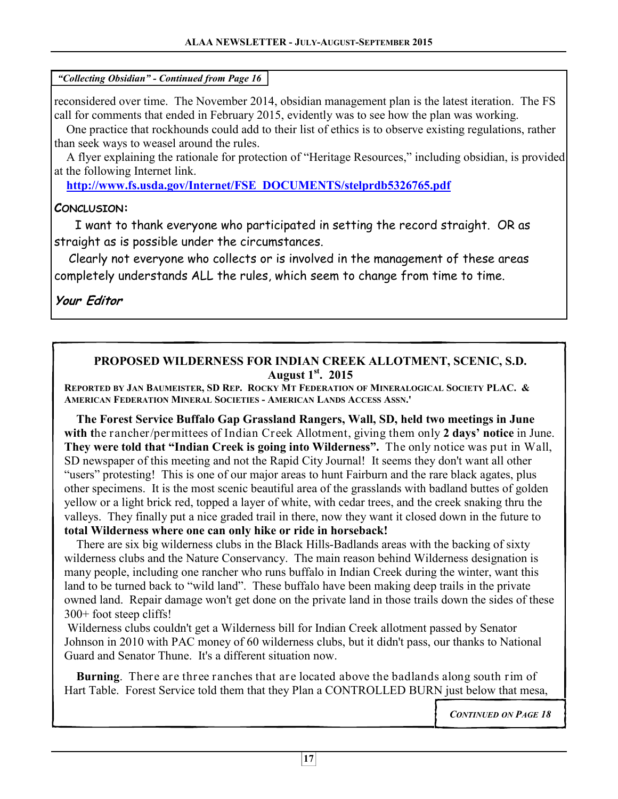reconsidered over time. The November 2014, obsidian management plan is the latest iteration. The FS call for comments that ended in February 2015, evidently was to see how the plan was working.

 One practice that rockhounds could add to their list of ethics is to observe existing regulations, rather than seek ways to weasel around the rules.

 A flyer explaining the rationale for protection of "Heritage Resources," including obsidian, is provided at the following Internet link.

**http://www.fs.usda.gov/Internet/FSE\_DOCUMENTS/stelprdb5326765.pdf**

# **CONCLUSION:**

I want to thank everyone who participated in setting the record straight. OR as straight as is possible under the circumstances.

 Clearly not everyone who collects or is involved in the management of these areas completely understands ALL the rules, which seem to change from time to time.

**Your Editor** 

#### **PROPOSED WILDERNESS FOR INDIAN CREEK ALLOTMENT, SCENIC, S.D. August 1st. 2015**

REPORTED BY JAN BAUMEISTER, SD REP. ROCKY MT FEDERATION OF MINERALOGICAL SOCIETY PLAC. & **AMERICAN FEDERATION MINERAL SOCIETIES - AMERICAN LANDS ACCESS ASSN.'**

 **The Forest Service Buffalo Gap Grassland Rangers, Wall, SD, held two meetings in June with t**he rancher/permittees of Indian Creek Allotment, giving them only **2 days' notice** in June. **They were told that "Indian Creek is going into Wilderness".** The only notice was put in Wall, SD newspaper of this meeting and not the Rapid City Journal! It seems they don't want all other "users" protesting! This is one of our major areas to hunt Fairburn and the rare black agates, plus other specimens. It is the most scenic beautiful area of the grasslands with badland buttes of golden yellow or a light brick red, topped a layer of white, with cedar trees, and the creek snaking thru the valleys. They finally put a nice graded trail in there, now they want it closed down in the future to **total Wilderness where one can only hike or ride in horseback!** 

There are six big wilderness clubs in the Black Hills-Badlands areas with the backing of sixty wilderness clubs and the Nature Conservancy. The main reason behind Wilderness designation is many people, including one rancher who runs buffalo in Indian Creek during the winter, want this land to be turned back to "wild land". These buffalo have been making deep trails in the private owned land. Repair damage won't get done on the private land in those trails down the sides of these 300+ foot steep cliffs!

 Wilderness clubs couldn't get a Wilderness bill for Indian Creek allotment passed by Senator Johnson in 2010 with PAC money of 60 wilderness clubs, but it didn't pass, our thanks to National Guard and Senator Thune. It's a different situation now.

 **Burning**. There are three ranches that are located above the badlands along south rim of Hart Table. Forest Service told them that they Plan a CONTROLLED BURN just below that mesa,

*CONTINUED ON PAGE 18*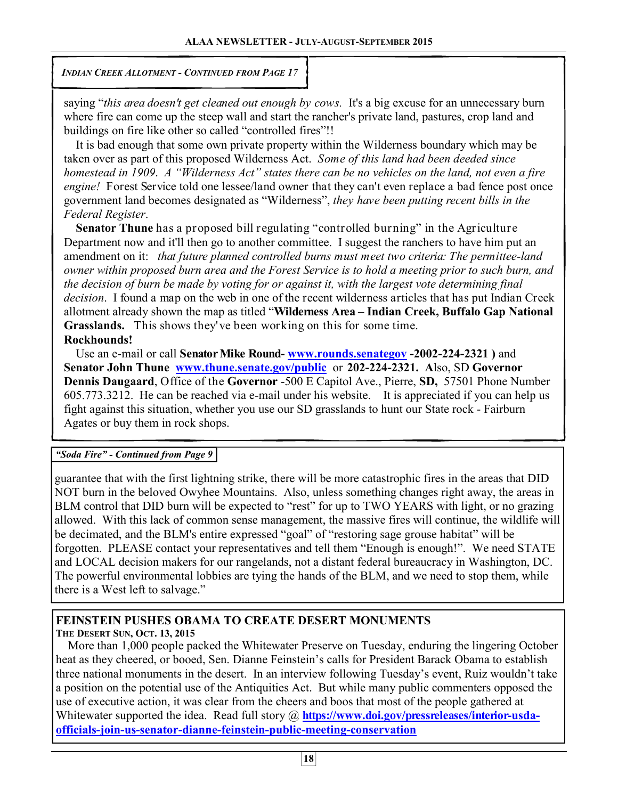*INDIAN CREEK ALLOTMENT - CONTINUED FROM PAGE 17* 

saying "*this area doesn't get cleaned out enough by cows.* It's a big excuse for an unnecessary burn where fire can come up the steep wall and start the rancher's private land, pastures, crop land and buildings on fire like other so called "controlled fires"!!

 It is bad enough that some own private property within the Wilderness boundary which may be taken over as part of this proposed Wilderness Act. *Some of this land had been deeded since homestead in 1909*. *A "Wilderness Act" states there can be no vehicles on the land, not even a fire engine!* Forest Service told one lessee/land owner that they can't even replace a bad fence post once government land becomes designated as "Wilderness", *they have been putting recent bills in the Federal Register*.

 **Senator Thune** has a proposed bill regulating "controlled burning" in the Agriculture Department now and it'll then go to another committee. I suggest the ranchers to have him put an amendment on it: *that future planned controlled burns must meet two criteria: The permittee-land owner within proposed burn area and the Forest Service is to hold a meeting prior to such burn, and the decision of burn be made by voting for or against it, with the largest vote determining final decision*. I found a map on the web in one of the recent wilderness articles that has put Indian Creek allotment already shown the map as titled "**Wilderness Area – Indian Creek, Buffalo Gap National Grasslands.** This shows they've been working on this for some time.

# **Rockhounds!**

 Use an e-mail or call **Senator Mike Round- www.rounds.senategov -2002-224-2321 )** and **Senator John Thune www.thune.senate.gov/public** or **202-224-2321. A**lso, SD **Governor Dennis Daugaard**, Office of the **Governor** -500 E Capitol Ave., Pierre, **SD,** 57501 Phone Number 605.773.3212. He can be reached via e-mail under his website. It is appreciated if you can help us fight against this situation, whether you use our SD grasslands to hunt our State rock - Fairburn Agates or buy them in rock shops.

#### *"Soda Fire" - Continued from Page 9*

guarantee that with the first lightning strike, there will be more catastrophic fires in the areas that DID NOT burn in the beloved Owyhee Mountains. Also, unless something changes right away, the areas in BLM control that DID burn will be expected to "rest" for up to TWO YEARS with light, or no grazing allowed. With this lack of common sense management, the massive fires will continue, the wildlife will be decimated, and the BLM's entire expressed "goal" of "restoring sage grouse habitat" will be forgotten. PLEASE contact your representatives and tell them "Enough is enough!". We need STATE and LOCAL decision makers for our rangelands, not a distant federal bureaucracy in Washington, DC. The powerful environmental lobbies are tying the hands of the BLM, and we need to stop them, while there is a West left to salvage."

# **FEINSTEIN PUSHES OBAMA TO CREATE DESERT MONUMENTS**

**THE DESERT SUN, OCT. 13, 2015**

 More than 1,000 people packed the Whitewater Preserve on Tuesday, enduring the lingering October heat as they cheered, or booed, Sen. Dianne Feinstein's calls for President Barack Obama to establish three national monuments in the desert. In an interview following Tuesday's event, Ruiz wouldn't take a position on the potential use of the Antiquities Act. But while many public commenters opposed the use of executive action, it was clear from the cheers and boos that most of the people gathered at Whitewater supported the idea. Read full story @ https://www.doi.gov/pressreleases/interior-usda**officials-join-us-senator-dianne-feinstein-public-meeting-conservation**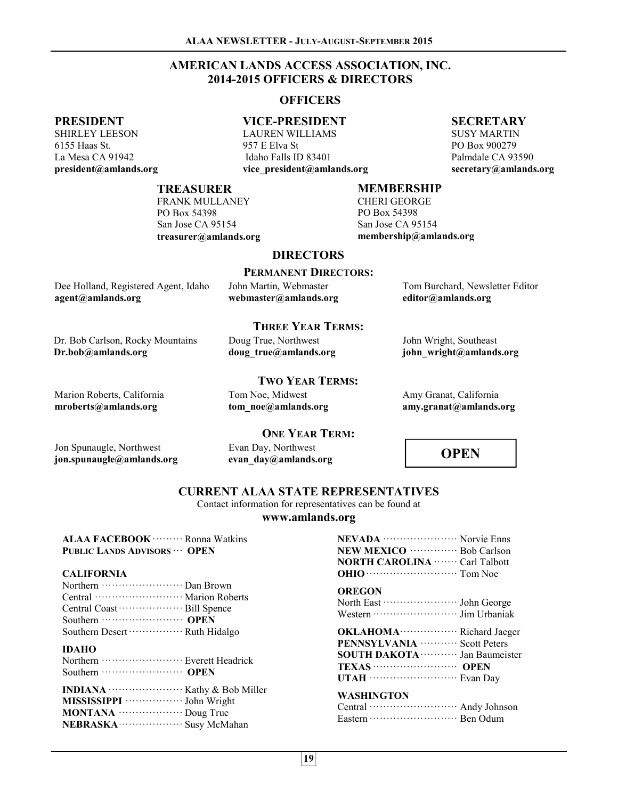#### **ALAA NEWSLETTER - JULY-AUGUST-SEPTEMBER 2015**

#### **AMERICAN LANDS ACCESS ASSOCIATION, INC. 2014-2015 OFFICERS & DIRECTORS**

#### **OFFICERS**

#### **PRESIDENT**

SHIRLEY LEESON 6155 Haas St. La Mesa CA 91942 **president@amlands.org** 

# **VICE-PRESIDENT**

LAUREN WILLIAMS 957 E Elva St Idaho Falls ID 83401 **vice\_president@amlands.org** 

#### **SECRETARY**

SUSY MARTIN PO Box 900279 Palmdale CA 93590 **secretary@amlands.org** 

#### **TREASURER**

FRANK MULLANEY PO Box 54398 San Jose CA 95154 **treasurer@amlands.org** 

#### **MEMBERSHIP**

CHERI GEORGE PO Box 54398 San Jose CA 95154 **membership@amlands.org** 

#### **DIRECTORS**

|                                                           | <b>PERMANENT DIRECTORS:</b>                     |                                                       |
|-----------------------------------------------------------|-------------------------------------------------|-------------------------------------------------------|
| Dee Holland, Registered Agent, Idaho<br>agent@amlands.org | John Martin, Webmaster<br>webmaster@amlands.org | Tom Burchard, Newsletter Editor<br>editor@amlands.org |
|                                                           |                                                 |                                                       |

Dr. Bob Carlson, Rocky Mountains **Dr.bob@amlands.org** 

# **THREE YEAR TERMS:**

Doug True, Northwest **doug\_true@amlands.org** 

John Wright, Southeast **john\_wright@amlands.org**

Amy Granat, California **amy.granat@amlands.org** 

Marion Roberts, California **mroberts@amlands.org** 

#### **TWO YEAR TERMS:**

Tom Noe, Midwest **tom\_noe@amlands.org** 

Evan Day, Northwest **evan\_day@amlands.org** 

# **ONE YEAR TERM:**

Jon Spunaugle, Northwest **jon.spunaugle@amlands.org**

**OPEN** 

#### **CURRENT ALAA STATE REPRESENTATIVES**

Contact information for representatives can be found at

#### **www.amlands.org**

| ALAA FACEBOOK ·········· Ronna Watkins                                  | NEVADA  Norvie Enns                                                                |
|-------------------------------------------------------------------------|------------------------------------------------------------------------------------|
| <b>PUBLIC LANDS ADVISORS ·· OPEN</b>                                    | NEW MEXICO ················ Bob Carlson                                            |
|                                                                         | <b>NORTH CAROLINA</b> Carl Talbott                                                 |
| <b>CALIFORNIA</b>                                                       |                                                                                    |
| Central ······························· Marion Roberts                  | <b>OREGON</b>                                                                      |
| Southern Desert ····················· Ruth Hidalgo                      |                                                                                    |
| <b>IDAHO</b><br>Northern ····························· Everett Headrick | PENNSYLVANIA ············ Scott Peters<br>SOUTH DAKOTA ············ Jan Baumeister |
| MISSISSIPPI ····················· John Wright                           | <b>WASHINGTON</b>                                                                  |